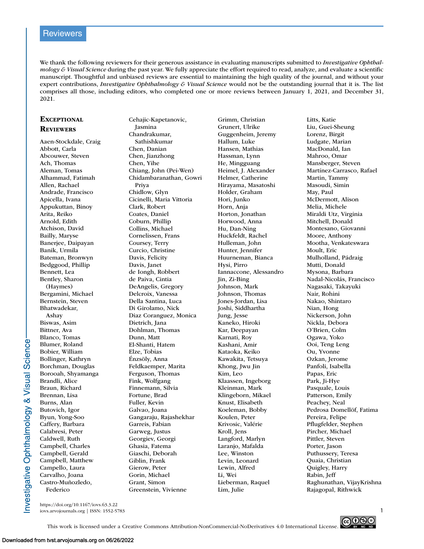# **Reviewers**

We thank the following reviewers for their generous assistance in evaluating manuscripts submitted to *Investigative Ophthalmology & Visual Science* during the past year. We fully appreciate the effort required to read, analyze, and evaluate a scientific manuscript. Thoughtful and unbiased reviews are essential to maintaining the high quality of the journal, and without your expert contributions, *Investigative Ophthalmology & Visual Science* would not be the outstanding journal that it is. The list comprises all those, including editors, who completed one or more reviews between January 1, 2021, and December 31, 2021.

## **EXCEPTIONAL REVIEWERS**

Aaen-Stockdale, Craig Abbott, Carla Abcouwer, Steven Ach, Thomas Aleman, Tomas Alhammad, Fatimah Allen, Rachael Andrade, Francisco Apicella, Ivana Appukuttan, Binoy Arita, Reiko Arnold, Edith Atchison, David Bailly, Maryse Banerjee, Daipayan Banik, Urmila Bateman, Bronwyn Bedggood, Phillip Bennett, Lea Bentley, Sharon (Haymes) Bergamini, Michael Bernstein, Steven Bhatwadekar, Ashay Biswas, Asim Bittner, Ava Blanco, Tomas Blumer, Roland Bobier, William Bollinger, Kathryn Borchman, Douglas Borooah, Shyamanga Brandli, Alice Braun, Richard Brennan, Lisa Burns, Alan Butovich, Igor Byun, Yong-Soo Caffery, Barbara Calabresi, Peter Caldwell, Ruth Campbell, Charles Campbell, Gerald Campbell, Matthew Campello, Laura Carvalho, Joana Castro-Muñozledo, Federico

Cehajic-Kapetanovic, Jasmina Chandrakumar, Sathishkumar Chen, Danian Chen, Jianzhong Chen, Yihe Chiang, John (Pei-Wen) Chidambaranathan, Gowri Priya Chidlow, Glyn Cicinelli, Maria Vittoria Clark, Robert Coates, Daniel Coburn, Phillip Collins, Michael Cornelissen, Frans Coursey, Terry Curcio, Christine Davis, Felicity Davis, Janet de Iongh, Robbert de Paiva, Cintia DeAngelis, Gregory Delcroix, Vanessa Della Santina, Luca Di Girolamo, Nick Diaz Coranguez, Monica Dietrich, Jana Dohlman, Thomas Dunn, Matt El-Shanti, Hatem Elze, Tobias Énzsöly, Anna Feldkaemper, Marita Ferguson, Thomas Fink, Wolfgang Finnemann, Silvia Fortune, Brad Fuller, Kevin Galvao, Joana Gangaraju, Rajashekhar Garreis, Fabian Garweg, Justus Georgiev, Georgi Ghasia, Fatema Giaschi, Deborah Giblin, Frank Gierow, Peter Gorin, Michael Grant, Simon Greenstein, Vivienne

Grimm, Christian Grunert, Ulrike Guggenheim, Jeremy Hallum, Luke Hansen, Mathias Hassman, Lynn He, Mingguang Heimel, J. Alexander Helmer, Catherine Hirayama, Masatoshi Holder, Graham Hori, Junko Horn, Anja Horton, Jonathan Horwood, Anna Hu, Dan-Ning Huckfeldt, Rachel Hulleman, John Hunter, Jennifer Huurneman, Bianca Hysi, Pirro Iannaccone, Alessandro Jin, Zi-Bing Johnson, Mark Johnson, Thomas Jones-Jordan, Lisa Joshi, Siddhartha Jung, Jesse Kaneko, Hiroki Kar, Deepayan Karnati, Roy Kashani, Amir Kataoka, Keiko Kawakita, Tetsuya Khong, Jwu Jin Kim, Leo Klaassen, Ingeborg Kleinman, Mark Klingeborn, Mikael Knust, Elisabeth Koeleman, Bobby Koulen, Peter Krivosic, Valérie Kroll, Jens Langford, Marlyn Laranjo, Mafalda Lee, Winston Levin, Leonard Lewin, Alfred Li, Wei Lieberman, Raquel Lim, Julie

Litts, Katie Liu, Guei-Sheung Lorenz, Birgit Ludgate, Marian MacDonald, Ian Mahroo, Omar Mansberger, Steven Martínez-Carrasco, Rafael Martin, Tammy Masoudi, Simin May, Paul McDermott, Alison Melia, Michele Miraldi Utz, Virginia Mitchell, Donald Montesano, Giovanni Moore, Anthony Mootha, Venkateswara Moult, Eric Mulholland, Pádraig Mutti, Donald Mysona, Barbara Nadal-Nicolás, Francisco Nagasaki, Takayuki Nair, Rohini Nakao, Shintaro Nian, Hong Nickerson, John Nickla, Debora O'Brien, Colm Ogawa, Yoko Ooi, Teng Leng Ou, Yvonne Ozkan, Jerome Panfoli, Isabella Papas, Eric Park, Ji-Hye Pasquale, Louis Patterson, Emily Peachey, Neal Pedrosa Domellöf, Fatima Pereira, Felipe Pflugfelder, Stephen Pircher, Michael Pittler, Steven Porter, Jason Puthussery, Teresa Quaia, Christian Quigley, Harry Rabin, Jeff Raghunathan, VijayKrishna Rajagopal, Rithwick

https://doi.org/10.1167/iovs.63.3.22 iovs.arvojournals.org | ISSN: 1552-5783 1



This work is licensed under a Creative Commons Attribution-NonCommercial-NoDerivatives 4.0 International License.

nvestigative Ophthalmology & Visual Science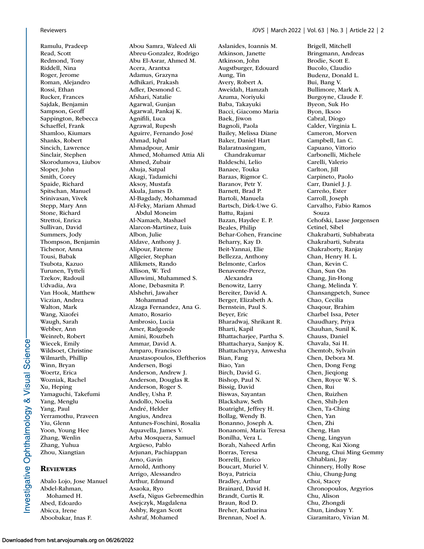Ramulu, Pradeep Read, Scott Redmond, Tony Riddell, Nina Roger, Jerome Roman, Alejandro Rossi, Ethan Rucker, Frances Sajdak, Benjamin Sampson, Geoff Sappington, Rebecca Schaeffel, Frank Shamloo, Kiumars Shanks, Robert Sincich, Lawrence Sinclair, Stephen Skorodumova, Liubov Sloper, John Smith, Corey Spaide, Richard Spitschan, Manuel Srinivasan, Vivek Stepp, Mary Ann Stone, Richard Strettoi, Enrica Sullivan, David Summers, Jody Thompson, Benjamin Tichenor, Anna Tousi, Babak Tsubota, Kazuo Turunen, Tytteli Tzekov, Radouil Udvadia, Ava Van Hook, Matthew Viczian, Andrea Walton, Mark Wang, Xiaofei Waugh, Sarah Webber, Ann Weinreb, Robert Wiecek, Emily Wildsoet, Christine Wilmarth, Phillip Winn, Bryan Woertz, Erica Wozniak, Rachel Xu, Heping Yamaguchi, Takefumi Yang, Menglu Yang, Paul Yerramothu, Praveen Yiu, Glenn Yoon, Young Hee Zhang, Wenlin Zhang, Yuhua Zhou, Xiangtian

# **REVIEWERS**

Abalo Lojo, Jose Manuel Abdel-Rahman, Mohamed H. Abed, Edoardo Abicca, Irene Aboobakar, Inas F.

Abou Samra, Waleed Ali Abreu-Gonzalez, Rodrigo Abu El-Asrar, Ahmed M. Acera, Arantxa Adamus, Grazyna Adhikari, Prakash Adler, Desmond C. Afshari, Natalie Agarwal, Gunjan Agarwal, Pankaj K. Agnifili, Luca Agrawal, Rupesh Aguirre, Fernando José Ahmad, Iqbal Ahmadpour, Amir Ahmed, Mohamed Attia Ali Ahmed, Zubair Ahuja, Satpal Akagi, Tadamichi Aksoy, Mustafa Akula, James D. Al-Bagdady, Mohammad Al-Feky, Mariam Ahmad Abdul Moneim Al-Namaeh, Mashael Alarcon-Martinez, Luis Albon, Julie Aldave, Anthony J. Alipour, Fateme Allgeier, Stephan Allikmets, Rando Allison, W. Ted Alluwimi, Muhammed S. Alone, Debasmita P. Alshehri, Jawaher Mohammad Alzaga Fernandez, Ana G. Amato, Rosario Ambrosio, Lucia Amer, Radgonde Amini, Rouzbeh Ammar, David A. Amparo, Francisco Anastasopoulos, Eleftherios Andersen, Bogi Anderson, Andrew J. Anderson, Douglas R. Anderson, Roger S. Andley, Usha P. Andollo, Noelia André, Helder Angius, Andrea Antunes-Foschini, Rosalia Aquavella, James V. Arba Mosquera, Samuel Argüeso, Pablo Arjunan, Pachiappan Arno, Gavin Arnold, Anthony Arrigo, Alessandro Arthur, Edmund Asaoka, Ryo Asefa, Nigus Gebremedhin Asejczyk, Magdalena Ashby, Regan Scott

Ashraf, Mohamed

Aslanides, Ioannis M. Atkinson, Janette Atkinson, John Augstburger, Edouard Aung, Tin Avery, Robert A. Aweidah, Hamzah Azuma, Noriyuki Baba, Takayuki Bacci, Giacomo Maria Baek, Jiwon Bagnoli, Paola Bailey, Melissa Diane Baker, Daniel Hart Balaratnasingam, Chandrakumar Baldeschi, Lelio Banaee, Touka Baraas, Rigmor C. Baranov, Petr Y. Barnett, Brad P. Bartoli, Manuela Bartsch, Dirk-Uwe G. Battu, Rajani Bazan, Haydee E. P. Beales, Philip Behar-Cohen, Francine Beharry, Kay D. Beit-Yannai, Elie Bellezza, Anthony Belmonte, Carlos Benavente-Perez, Alexandra Benowitz, Larry Bereiter, David A. Berger, Elizabeth A. Bernstein, Paul S. Beyer, Eric Bharadwaj, Shrikant R. Bharti, Kapil Bhattacharjee, Partha S. Bhattacharya, Sanjoy K. Bhattacharyya, Anwesha Bian, Fang Biao, Yan Birch, David G. Bishop, Paul N. Bissig, David Biswas, Sayantan Blackshaw, Seth Boatright, Jeffrey H. Bollag, Wendy B. Bonanno, Joseph A. Bonanomi, Maria Teresa Bonilha, Vera L. Borah, Naheed Arfin Borras, Teresa Borrelli, Enrico Boucart, Muriel V. Boya, Patricia Bradley, Arthur Brainard, David H. Brandt, Curtis R. Braun, Rod D. Breher, Katharina Brennan, Noel A.

Brigell, Mitchell Bringmann, Andreas Brodie, Scott E. Bucolo, Claudio Budenz, Donald L. Bui, Bang V. Bullimore, Mark A. Burgoyne, Claude F. Byeon, Suk Ho Byon, Iksoo Cabral, Diogo Calder, Virginia L. Cameron, Morven Campbell, Ian C. Capuano, Vittorio Carbonelli, Michele Carelli, Valerio Carlton, Jill Carpineto, Paolo Carr, Daniel J. J. Carreño, Ester Carroll, Joseph Carvalho, Fabio Ramos Souza Cehofski, Lasse Jørgensen Cetinel, Sibel Chakrabarti, Subhabrata Chakrabarti, Subrata Chakraborty, Ranjay Chan, Henry H. L. Chan, Kevin C. Chan, Sun On Chang, Jin-Hong Chang, Melinda Y. Chansangpetch, Sunee Chao, Cecilia Chaqour, Brahim Charbel Issa, Peter Chaudhary, Priya Chauhan, Sunil K. Chauss, Daniel Chavala, Sai H. Chemtob, Sylvain Chen, Debora M. Chen, Dong Feng Chen, Jieqiong Chen, Royce W. S. Chen, Rui Chen, Ruizhen Chen, Shih-Jen Chen, Ta-Ching Chen, Yan Chen, Zhi Cheng, Han Cheng, Lingyun Cheong, Kai Xiong Cheung, Chui Ming Gemmy Chhablani, Jay Chinnery, Holly Rose Chiu, Chung-Jung Choi, Stacey Chronopoulos, Argyrios Chu, Alison Chu, Zhongdi Chun, Lindsay Y. Ciaramitaro, Vivian M.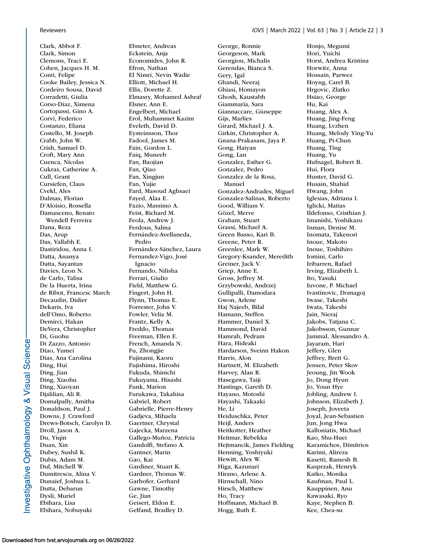Clark, Abbot F. Clark, Simon Clemons, Traci E. Cohen, Jacques H. M. Conti, Felipe Cooke Bailey, Jessica N. Cordeiro Sousa, David Corradetti, Giulia Corso-Diaz, Ximena Cortopassi, Gino A. Corvi, Federico Costanzo, Eliana Costello, M. Joseph Crabb, John W. Crish, Samuel D. Croft, Mary Ann Cuenca, Nicolas Cukras, Catherine A. Cull, Grant Cursiefen, Claus Cvekl, Ales Dalmas, Florian D'Aloisio, Rossella Damasceno, Renato Wendell Ferreira Dana, Reza Das, Arup Das, Vallabh E. Dastiridou, Anna I. Datta, Ananya Datta, Sayantan Davies, Leon N. de Carlo, Talisa De la Huerta, Irina de Ribot, Francesc March Decaudin, Didier Dekaris, Iva dell'Omo, Roberto Demirci, Hakan DeVera, Christopher Di, Guohu Di Zazzo, Antonio Diao, Yumei Dias, Ana Carolina Ding, Hui Ding, Jian Ding, Xiaohu Ding, Xiaoyan Djalilian, Ali R. Domalpally, Amitha Donaldson, Paul J. Downs, J. Crawford Drews-Botsch, Carolyn D. Droll, Jason A. Du, Yiqin Duan, Xin Dubey, Sushil K. Dubis, Adam M. Dul, Mitchell W. Dumitrescu, Alina V. Dunaief, Joshua L. Dutta, Debarun Dysli, Muriel Ebihara, Lisa Ebihara, Nobuyuki

Ebneter, Andreas Eckstein, Anja Economides, John R. Efron, Nathan El Nimri, Nevin Wadie Elliott, Michael H. Ellis, Dorette Z. Elmasry, Mohamed Ashraf Elsner, Ann E. Engelbert, Michael Erol, Muhammet Kazim Eveleth, David D. Eysteinsson, Thor Fadool, James M. Fain, Gordon L. Faiq, Muneeb Fan, Baojian Fan, Qiao Fan, Xingjun Fan, Yujie Fard, Masoud Aghsaei Fayed, Alaa E. Fazio, Massimo A. Feist, Richard M. Feola, Andrew J. Ferdous, Salma Fernández-Avellaneda, Pedro Fernández-Sánchez, Laura Fernandez-Vigo, José Ignacio Fernando, Nilisha Ferrari, Giulio Field, Matthew G. Fingert, John H. Flynn, Thomas E. Forrester, John V. Fowler, Velia M. Frantz, Kelly A. Freddo, Thomas Freeman, Ellen E. French, Amanda N. Fu, Zhongjie Fujinami, Kaoru Fujishima, Hiroshi Fukuda, Shinichi Fukuyama, Hisashi Funk, Marion Furukawa, Takahisa Gabriel, Robert Gabrielle, Pierre-Henry Gadjeva, Mihaela Gaertner, Chrystal Gajecka, Marzena Gallego-Muñoz, Patricia Gandolfi, Stefano A. Gantner, Marin Gao, Kai Gardiner, Stuart K. Gardner, Thomas W. Garhofer, Gerhard Gawne, Timothy Ge, Jian Geisert, Eldon E. Gelfand, Bradley D.

George, Ronnie Georgeson, Mark Georgiou, Michalis Gerendas, Bianca S. Gery, Igal Ghandi, Neeraj Ghiasi, Homayon Ghosh, Kaustabh Giammaria, Sara Giannaccare, Giuseppe Gijs, Marlies Girard, Michael J. A. Girkin, Christopher A. Gnana-Prakasam, Jaya P. Gong, Haiyan Gong, Lan Gonzalez, Esther G. Gonzalez, Pedro Gonzalez de la Rosa, Manuel Gonzalez-Andrades, Miguel Gonzalez-Salinas, Roberto Good, William V. Gözel, Merve Graham, Stuart Grassi, Michael A. Green Basso, Kari B. Greene, Peter R. Greenlee, Mark W. Gregory-Ksander, Meredith Greiner, Jack V. Griep, Anne E. Gross, Jeffrey M. Grzybowski, Andrzej Gullipalli, Damodara Gwon, Arlene Haj Najeeb, Bilal Hamann, Steffen Hammer, Daniel X. Hammond, David Hamrah, Pedram Hara, Hideaki Hardarson, Sveinn Hakon Harris, Alon Hartnett, M. Elizabeth Harvey, Alan R. Hasegawa, Taiji Hastings, Gareth D. Hayano, Motoshi Hayashi, Takaaki He, Li Heiduschka, Peter Heijl, Anders Heitkotter, Heather Heitmar, Rebekka Hejtmancik, James Fielding Henning, Yoshiyuki Hewitt, Alex W. Higa, Kazunari Hirano, Arlene A. Hirnschall, Nino Hirsch, Matthew Ho, Tracy Hoffmann, Michael B. Hogg, Ruth E.

Honjo, Megumi Hori, Yuichi Horst, Andrea Kristina Horwitz, Anna Hossain, Parwez Hoyng, Carel B. Hrgovic, Zlatko Hsiao, George Hu, Kai Huang, Alex A. Huang, Jing-Feng Huang, Lvzhen Huang, Melody Ying-Yu Huang, Pi-Chun Huang, Ting Huang, Yu Hufnagel, Robert B. Hui, Flora Hunter, David G. Husain, Shahid Hwang, John Iglesias, Adriana I. Iglicki, Matias Ildefonso, Cristhian J. Imanishi, Yoshikazu Inman, Denise M. Inomata, Takenori Inoue, Makoto Inoue, Toshihiro Iomini, Carlo Iribarren, Rafael Irving, Elizabeth L. Ito, Yasuki Iuvone, P. Michael Ivastinovic, Domagoj Iwase, Takeshi Iwata, Takeshi Jain, Nieraj Jakobs, Tatjana C. Jakobsson, Gunnar Jammal, Alessandro A. Jayaram, Hari Jeffery, Glen Jeffrey, Brett G. Jensen, Peter Skov Jeoung, Jin Wook Jo, Dong Hyun Jo, Youn Hye Jobling, Andrew I. Johnson, Elizabeth J. Joseph, Joveeta Joyal, Jean-Sebastien Jun, Jong Hwa Kalloniatis, Michael Kao, Shu-Huei Karamichos, Dimitrios Karimi, Alireza Kasetti, Ramesh B. Kasprzak, Henryk Katko, Monika Kaufman, Paul L. Kauppinen, Anu Kawasaki, Ryo Kaye, Stephen B. Kee, Chea-su

nvestigative Ophthalmology & Visual Science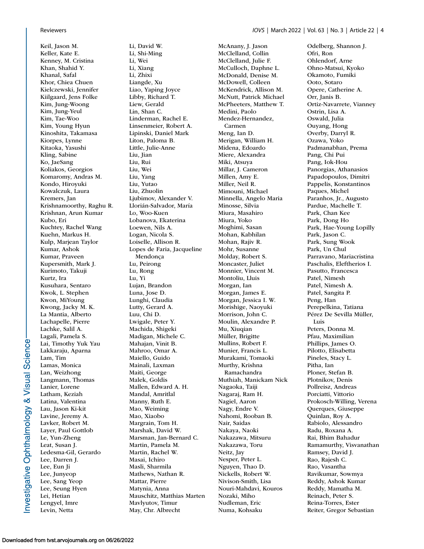Keil, Jason M. Keller, Kate E. Kenney, M. Cristina Khan, Shahid Y. Khanal, Safal Khor, Chiea Chuen Kielczewski, Jennifer Kiilgaard, Jens Folke Kim, Jung-Woong Kim, Jung-Yeul Kim, Tae-Woo Kim, Young Hyun Kinoshita, Takamasa Kiorpes, Lynne Kitaoka, Yasushi Kling, Sabine Ko, JaeSang Koliakos, Georgios Komaromy, Andras M. Kondo, Hiroyuki Kowalczuk, Laura Kremers, Jan Krishnamoorthy, Raghu R. Krishnan, Arun Kumar Kubo, Eri Kuchtey, Rachel Wang Kuehn, Markus H. Kulp, Marjean Taylor Kumar, Ashok Kumar, Praveen Kupersmith, Mark J. Kurimoto, Takuji Kurtz, Ira Kusuhara, Sentaro Kwok, L. Stephen Kwon, MiYoung Kwong, Jacky M. K. La Mantia, Alberto Lachapelle, Pierre Lachke, Salil A. Lagali, Pamela S. Lai, Timothy Yuk Yau Lakkaraju, Aparna Lam, Tim Lamas, Monica Lan, Weizhong Langmann, Thomas Lanier, Lorene Latham, Keziah Latina, Valentina Lau, Jason Ki-kit Lavine, Jeremy A. Lavker, Robert M. Layer, Paul Gottlob Le, Yun-Zheng Leat, Susan J. Ledesma-Gil, Gerardo Lee, Darren J. Lee, Eun Ji Lee, Junyeop Lee, Sang Yeop Lee, Seung Hyen Lei, Hetian Lengyel, Imre Levin, Netta

Li, David W. Li, Shi-Ming Li, Wei Li, Xiang Li, Zhixi Liangde, Xu Liao, Yaping Joyce Libby, Richard T. Liew, Gerald Lin, Shan C. Linderman, Rachel E. Linsenmeier, Robert A. Lipinski, Daniel Mark Liton, Paloma B. Little, Julie-Anne Liu, Jian Liu, Rui Liu, Wei Liu, Yang Liu, Yutao Liu, Zhuolin Ljubimov, Alexander V. Llorián-Salvador, María Lo, Woo-Kuen Lobanova, Ekaterina Loewen, Nils A. Logan, Nicola S. Loiselle, Allison R. Lopes de Faria, Jacqueline Mendonça Lu, Peirong Lu, Rong Lu, Yi Lujan, Brandon Luna, Jose D. Lunghi, Claudia Lutty, Gerard A. Luu, Chi D. Lwigale, Peter Y. Machida, Shigeki Madigan, Michele C. Mahajan, Vinit B. Mahroo, Omar A. Maiello, Guido Mainali, Laxman Maiti, George Malek, Goldis Mallen, Edward A. H. Mandal, Amritlal Manny, Ruth E. Mao, Weiming Mao, Xiaobo Margrain, Tom H. Marshak, David W. Marsman, Jan-Bernard C. Martin, Pamela M. Martin, Rachel W. Masai, Ichiro Masli, Sharmila Mathews, Nathan R. Mattar, Pierre Matynia, Anna Mauschitz, Matthias Marten Mavlyutov, Timur May, Chr. Albrecht

McAnany, J. Jason McClelland, Collin McClelland, Julie F. McCulloch, Daphne L. McDonald, Denise M. McDowell, Colleen McKendrick, Allison M. McNutt, Patrick Michael McPheeters, Matthew T. Medini, Paolo Mendez-Hernandez, Carmen Meng, Ian D. Merigan, William H. Midena, Edoardo Miere, Alexandra Miki, Atsuya Millar, J. Cameron Millen, Amy E. Miller, Neil R. Mimouni, Michael Minnella, Angelo Maria Minosse, Silvia Miura, Masahiro Miura, Yoko Moghimi, Sasan Mohan, Kabhilan Mohan, Rajiv R. Mohr, Susanne Molday, Robert S. Moncaster, Juliet Monnier, Vincent M. Montoliu, Lluis Morgan, Ian Morgan, James E. Morgan, Jessica I. W. Morishige, Naoyuki Morrison, John C. Moulin, Alexandre P. Mu, Xiuqian Müller, Brigitte Mullins, Robert F. Munier, Francis L. Murakami, Tomaoki Murthy, Krishna Ramachandra Muthiah, Manickam Nick Nagaoka, Taiji Nagaraj, Ram H. Nagiel, Aaron Nagy, Endre V. Nahomi, Rooban B. Nair, Saidas Nakaya, Naoki Nakazawa, Mitsuru Nakazawa, Toru Neitz, Jay Nesper, Peter L. Nguyen, Thao D. Nickells, Robert W. Nivison-Smith, Lisa Nouri-Mahdavi, Kouros Nozaki, Miho Nudleman, Eric Numa, Kohsaku

Odelberg, Shannon J. Ofri, Ron Ohlendorf, Arne Ohno-Matsui, Kyoko Okamoto, Fumiki Ooto, Sotaro Opere, Catherine A. Orr, Janis B. Ortiz-Navarrete, Vianney Ostrin, Lisa A. Oswald, Julia Ouyang, Hong Overby, Darryl R. Ozawa, Yoko Padmanabhan, Prema Pang, Chi Pui Pang, Iok-Hou Panorgias, Athanasios Papadopoulos, Dimitri Pappelis, Konstantinos Paques, Michel Paranhos, Jr., Augusto Pardue, Machelle T. Park, Chan Kee Park, Dong Ho Park, Hae-Young Lopilly Park, Jason C. Park, Sung Wook Park, Un Chul Parravano, Mariacristina Paschalis, Eleftherios I. Pasutto, Francesca Patel, Nimesh Patel, Nimesh A. Patel, Sangita P. Peng, Han Perepelkina, Tatiana Pérez De Sevilla Müller, Luis Peters, Donna M. Pfau, Maximilian Phillips, James O. Pilotto, Elisabetta Pineles, Stacy L. Pitha, Ian Ploner, Stefan B. Plotnikov, Denis Pollreisz, Andreas Porciatti, Vittorio Prokosch-Willing, Verena Querques, Giuseppe Quinlan, Roy A. Rabiolo, Alessandro Radu, Roxana A. Rai, Bhim Bahadur Ramamurthy, Visvanathan Ramsey, David J. Rao, Rajesh C. Rao, Vasantha Ravikumar, Sowmya Reddy, Ashok Kumar Reddy, Mamatha M. Reinach, Peter S. Reina-Torres, Ester Reiter, Gregor Sebastian